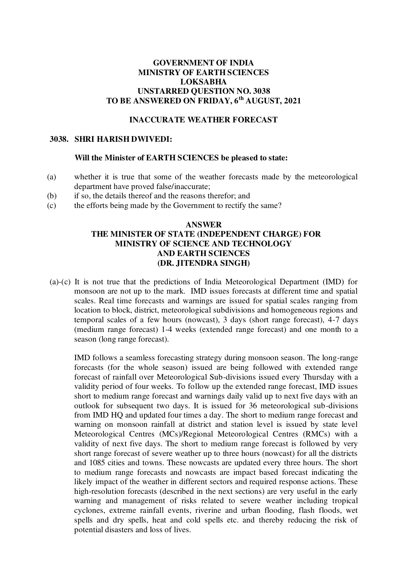# **GOVERNMENT OF INDIA MINISTRY OF EARTH SCIENCES LOKSABHA UNSTARRED QUESTION NO. 3038 TO BE ANSWERED ON FRIDAY, 6th AUGUST, 2021**

### **INACCURATE WEATHER FORECAST**

#### **3038. SHRI HARISH DWIVEDI:**

#### **Will the Minister of EARTH SCIENCES be pleased to state:**

- (a) whether it is true that some of the weather forecasts made by the meteorological department have proved false/inaccurate;
- (b) if so, the details thereof and the reasons therefor; and
- (c) the efforts being made by the Government to rectify the same?

## **ANSWER THE MINISTER OF STATE (INDEPENDENT CHARGE) FOR MINISTRY OF SCIENCE AND TECHNOLOGY AND EARTH SCIENCES (DR. JITENDRA SINGH)**

(a)-(c) It is not true that the predictions of India Meteorological Department (IMD) for monsoon are not up to the mark. IMD issues forecasts at different time and spatial scales. Real time forecasts and warnings are issued for spatial scales ranging from location to block, district, meteorological subdivisions and homogeneous regions and temporal scales of a few hours (nowcast), 3 days (short range forecast), 4-7 days (medium range forecast) 1-4 weeks (extended range forecast) and one month to a season (long range forecast).

IMD follows a seamless forecasting strategy during monsoon season. The long-range forecasts (for the whole season) issued are being followed with extended range forecast of rainfall over Meteorological Sub-divisions issued every Thursday with a validity period of four weeks. To follow up the extended range forecast, IMD issues short to medium range forecast and warnings daily valid up to next five days with an outlook for subsequent two days. It is issued for 36 meteorological sub-divisions from IMD HQ and updated four times a day. The short to medium range forecast and warning on monsoon rainfall at district and station level is issued by state level Meteorological Centres (MCs)/Regional Meteorological Centres (RMCs) with a validity of next five days. The short to medium range forecast is followed by very short range forecast of severe weather up to three hours (nowcast) for all the districts and 1085 cities and towns. These nowcasts are updated every three hours. The short to medium range forecasts and nowcasts are impact based forecast indicating the likely impact of the weather in different sectors and required response actions. These high-resolution forecasts (described in the next sections) are very useful in the early warning and management of risks related to severe weather including tropical cyclones, extreme rainfall events, riverine and urban flooding, flash floods, wet spells and dry spells, heat and cold spells etc. and thereby reducing the risk of potential disasters and loss of lives.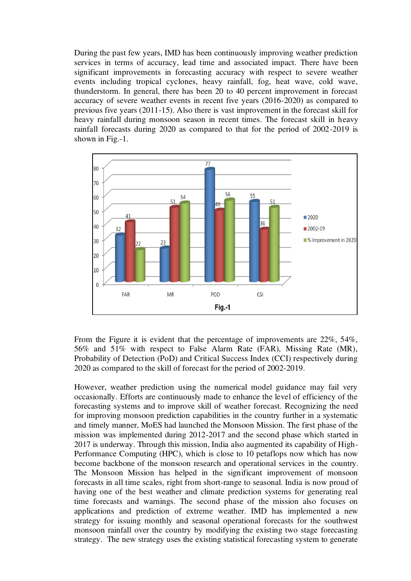During the past few years, IMD has been continuously improving weather prediction services in terms of accuracy, lead time and associated impact. There have been significant improvements in forecasting accuracy with respect to severe weather events including tropical cyclones, heavy rainfall, fog, heat wave, cold wave, thunderstorm. In general, there has been 20 to 40 percent improvement in forecast accuracy of severe weather events in recent five years (2016-2020) as compared to previous five years (2011-15). Also there is vast improvement in the forecast skill for heavy rainfall during monsoon season in recent times. The forecast skill in heavy rainfall forecasts during 2020 as compared to that for the period of 2002-2019 is shown in Fig.-1.



From the Figure it is evident that the percentage of improvements are 22%, 54%, 56% and 51% with respect to False Alarm Rate (FAR), Missing Rate (MR), Probability of Detection (PoD) and Critical Success Index (CCI) respectively during 2020 as compared to the skill of forecast for the period of 2002-2019.

However, weather prediction using the numerical model guidance may fail very occasionally. Efforts are continuously made to enhance the level of efficiency of the forecasting systems and to improve skill of weather forecast. Recognizing the need for improving monsoon prediction capabilities in the country further in a systematic and timely manner, MoES had launched the Monsoon Mission. The first phase of the mission was implemented during 2012-2017 and the second phase which started in 2017 is underway. Through this mission, India also augmented its capability of High-Performance Computing (HPC), which is close to 10 petaflops now which has now become backbone of the monsoon research and operational services in the country. The Monsoon Mission has helped in the significant improvement of monsoon forecasts in all time scales, right from short-range to seasonal. India is now proud of having one of the best weather and climate prediction systems for generating real time forecasts and warnings. The second phase of the mission also focuses on applications and prediction of extreme weather. IMD has implemented a new strategy for issuing monthly and seasonal operational forecasts for the southwest monsoon rainfall over the country by modifying the existing two stage forecasting strategy. The new strategy uses the existing statistical forecasting system to generate